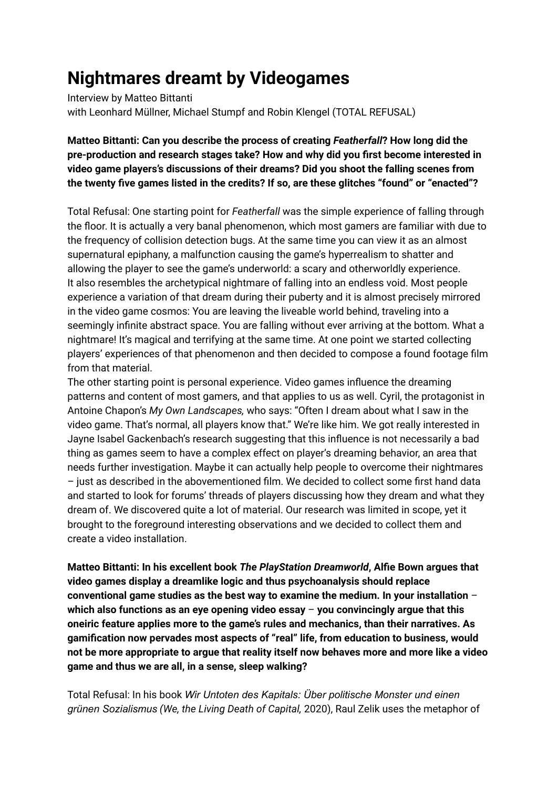## **Nightmares dreamt by Videogames**

Interview by Matteo Bittanti with Leonhard Müllner, Michael Stumpf and Robin Klengel (TOTAL REFUSAL)

## **Matteo Bittanti: Can you describe the process of creating** *Featherfall***? How long did the pre-production and research stages take? How and why did you first become interested in video game players's discussions of their dreams? Did you shoot the falling scenes from the twenty five games listed in the credits? If so, are these glitches "found" or "enacted"?**

Total Refusal: One starting point for *Featherfall* was the simple experience of falling through the floor. It is actually a very banal phenomenon, which most gamers are familiar with due to the frequency of collision detection bugs. At the same time you can view it as an almost supernatural epiphany, a malfunction causing the game's hyperrealism to shatter and allowing the player to see the game's underworld: a scary and otherworldly experience. It also resembles the archetypical nightmare of falling into an endless void. Most people experience a variation of that dream during their puberty and it is almost precisely mirrored in the video game cosmos: You are leaving the liveable world behind, traveling into a seemingly infinite abstract space. You are falling without ever arriving at the bottom. What a nightmare! It's magical and terrifying at the same time. At one point we started collecting players' experiences of that phenomenon and then decided to compose a found footage film from that material.

The other starting point is personal experience. Video games influence the dreaming patterns and content of most gamers, and that applies to us as well. Cyril, the protagonist in Antoine Chapon's *My Own Landscapes,* who says: "Often I dream about what I saw in the video game. That's normal, all players know that." We're like him. We got really interested in Jayne Isabel Gackenbach's research suggesting that this influence is not necessarily a bad thing as games seem to have a complex effect on player's dreaming behavior, an area that needs further investigation. Maybe it can actually help people to overcome their nightmares – just as described in the abovementioned film. We decided to collect some first hand data and started to look for forums' threads of players discussing how they dream and what they dream of. We discovered quite a lot of material. Our research was limited in scope, yet it brought to the foreground interesting observations and we decided to collect them and create a video installation.

**Matteo Bittanti: In his excellent book** *The PlayStation Dreamworld***, Alfie Bown argues that video games display a dreamlike logic and thus psychoanalysis should replace conventional game studies as the best way to examine the medium. In your installation** – **which also functions as an eye opening video essay** – **you convincingly argue that this oneiric feature applies more to the game's rules and mechanics, than their narratives. As gamification now pervades most aspects of "real" life, from education to business, would not be more appropriate to argue that reality itself now behaves more and more like a video game and thus we are all, in a sense, sleep walking?**

Total Refusal: In his book *Wir Untoten des Kapitals: Über politische Monster und einen grünen Sozialismus (We, the Living Death of Capital,* 2020), Raul Zelik uses the metaphor of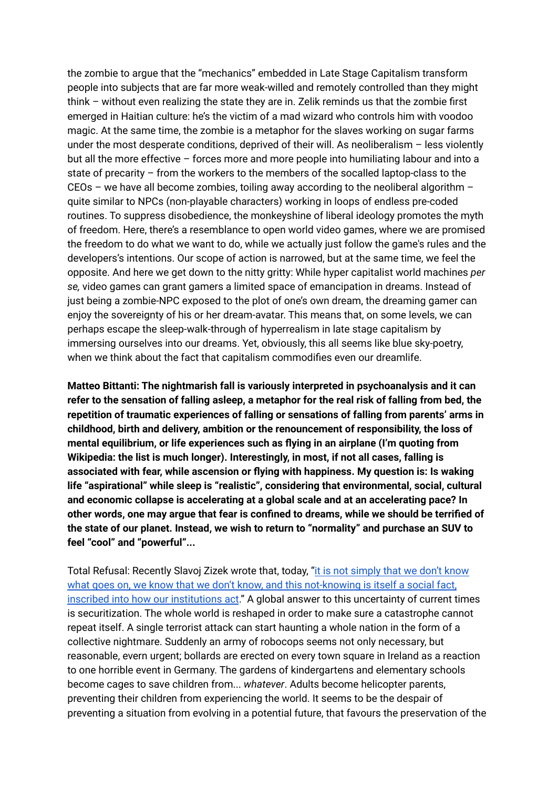the zombie to argue that the "mechanics" embedded in Late Stage Capitalism transform people into subjects that are far more weak-willed and remotely controlled than they might think – without even realizing the state they are in. Zelik reminds us that the zombie first emerged in Haitian culture: he's the victim of a mad wizard who controls him with voodoo magic. At the same time, the zombie is a metaphor for the slaves working on sugar farms under the most desperate conditions, deprived of their will. As neoliberalism – less violently but all the more effective – forces more and more people into humiliating labour and into a state of precarity – from the workers to the members of the socalled laptop-class to the CEOs – we have all become zombies, toiling away according to the neoliberal algorithm – quite similar to NPCs (non-playable characters) working in loops of endless pre-coded routines. To suppress disobedience, the monkeyshine of liberal ideology promotes the myth of freedom. Here, there's a resemblance to open world video games, where we are promised the freedom to do what we want to do, while we actually just follow the game's rules and the developers's intentions. Our scope of action is narrowed, but at the same time, we feel the opposite. And here we get down to the nitty gritty: While hyper capitalist world machines *per se,* video games can grant gamers a limited space of emancipation in dreams. Instead of just being a zombie-NPC exposed to the plot of one's own dream, the dreaming gamer can enjoy the sovereignty of his or her dream-avatar. This means that, on some levels, we can perhaps escape the sleep-walk-through of hyperrealism in late stage capitalism by immersing ourselves into our dreams. Yet, obviously, this all seems like blue sky-poetry, when we think about the fact that capitalism commodifies even our dreamlife.

**Matteo Bittanti: The nightmarish fall is variously interpreted in psychoanalysis and it can refer to the sensation of falling asleep, a metaphor for the real risk of falling from bed, the repetition of traumatic experiences of falling or sensations of falling from parents' arms in childhood, birth and delivery, ambition or the renouncement of responsibility, the loss of mental equilibrium, or life experiences such as flying in an airplane (I'm quoting from Wikipedia: the list is much longer). Interestingly, in most, if not all cases, falling is associated with fear, while ascension or flying with happiness. My question is: Is waking life "aspirational" while sleep is "realistic", considering that environmental, social, cultural and economic collapse is accelerating at a global scale and at an accelerating pace? In other words, one may argue that fear is confined to dreams, while we should be terrified of the state of our planet. Instead, we wish to return to "normality" and purchase an SUV to feel "cool" and "powerful"...**

Total Refusal: Recently Slavoj Zizek wrote that, today, "it is not [simply](https://www.jacobinmag.com/2020/12/slavoj-zizek-socialism-great-reset) that we don't know what goes on, we know that we don't know, and this [not-knowing](https://www.jacobinmag.com/2020/12/slavoj-zizek-socialism-great-reset) is itself a social fact, inscribed into how our [institutions](https://www.jacobinmag.com/2020/12/slavoj-zizek-socialism-great-reset) act." A global answer to this uncertainty of current times is securitization. The whole world is reshaped in order to make sure a catastrophe cannot repeat itself. A single terrorist attack can start haunting a whole nation in the form of a collective nightmare. Suddenly an army of robocops seems not only necessary, but reasonable, evern urgent; bollards are erected on every town square in Ireland as a reaction to one horrible event in Germany. The gardens of kindergartens and elementary schools become cages to save children from... *whatever*. Adults become helicopter parents, preventing their children from experiencing the world. It seems to be the despair of preventing a situation from evolving in a potential future, that favours the preservation of the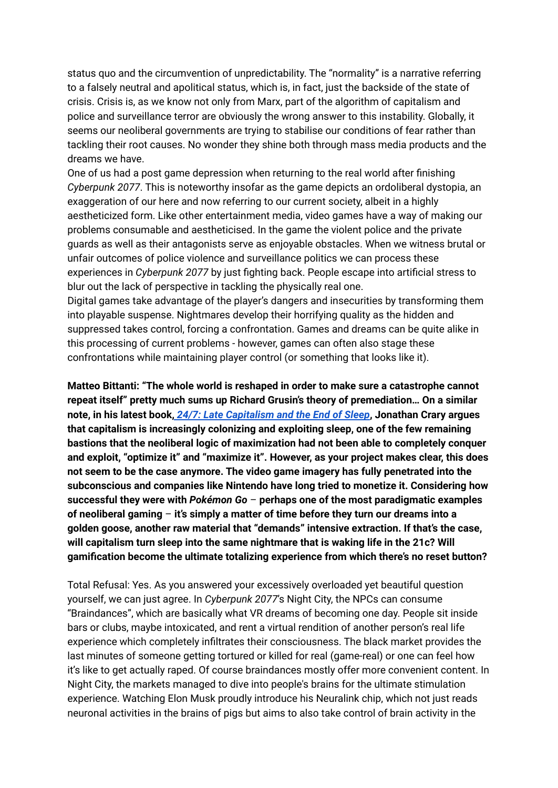status quo and the circumvention of unpredictability. The "normality" is a narrative referring to a falsely neutral and apolitical status, which is, in fact, just the backside of the state of crisis. Crisis is, as we know not only from Marx, part of the algorithm of capitalism and police and surveillance terror are obviously the wrong answer to this instability. Globally, it seems our neoliberal governments are trying to stabilise our conditions of fear rather than tackling their root causes. No wonder they shine both through mass media products and the dreams we have.

One of us had a post game depression when returning to the real world after finishing *Cyberpunk 2077*. This is noteworthy insofar as the game depicts an ordoliberal dystopia, an exaggeration of our here and now referring to our current society, albeit in a highly aestheticized form. Like other entertainment media, video games have a way of making our problems consumable and aestheticised. In the game the violent police and the private guards as well as their antagonists serve as enjoyable obstacles. When we witness brutal or unfair outcomes of police violence and surveillance politics we can process these experiences in *Cyberpunk 2077* by just fighting back. People escape into artificial stress to blur out the lack of perspective in tackling the physically real one.

Digital games take advantage of the player's dangers and insecurities by transforming them into playable suspense. Nightmares develop their horrifying quality as the hidden and suppressed takes control, forcing a confrontation. Games and dreams can be quite alike in this processing of current problems - however, games can often also stage these confrontations while maintaining player control (or something that looks like it).

**Matteo Bittanti: "The whole world is reshaped in order to make sure a catastrophe cannot repeat itself" pretty much sums up Richard Grusin's theory of premediation… On a similar note, in his latest book,** *24/7: Late [Capitalism](https://www.versobooks.com/books/1570-24-7) and the End of Sleep***, Jonathan Crary argues that capitalism is increasingly colonizing and exploiting sleep, one of the few remaining bastions that the neoliberal logic of maximization had not been able to completely conquer and exploit, "optimize it" and "maximize it". However, as your project makes clear, this does not seem to be the case anymore. The video game imagery has fully penetrated into the subconscious and companies like Nintendo have long tried to monetize it. Considering how successful they were with** *Pokémon Go* – **perhaps one of the most paradigmatic examples of neoliberal gaming** – **it's simply a matter of time before they turn our dreams into a golden goose, another raw material that "demands" intensive extraction. If that's the case, will capitalism turn sleep into the same nightmare that is waking life in the 21c? Will gamification become the ultimate totalizing experience from which there's no reset button?**

Total Refusal: Yes. As you answered your excessively overloaded yet beautiful question yourself, we can just agree. In *Cyberpunk 2077*'s Night City, the NPCs can consume "Braindances", which are basically what VR dreams of becoming one day. People sit inside bars or clubs, maybe intoxicated, and rent a virtual rendition of another person's real life experience which completely infiltrates their consciousness. The black market provides the last minutes of someone getting tortured or killed for real (game-real) or one can feel how it's like to get actually raped. Of course braindances mostly offer more convenient content. In Night City, the markets managed to dive into people's brains for the ultimate stimulation experience. Watching Elon Musk proudly introduce his Neuralink chip, which not just reads neuronal activities in the brains of pigs but aims to also take control of brain activity in the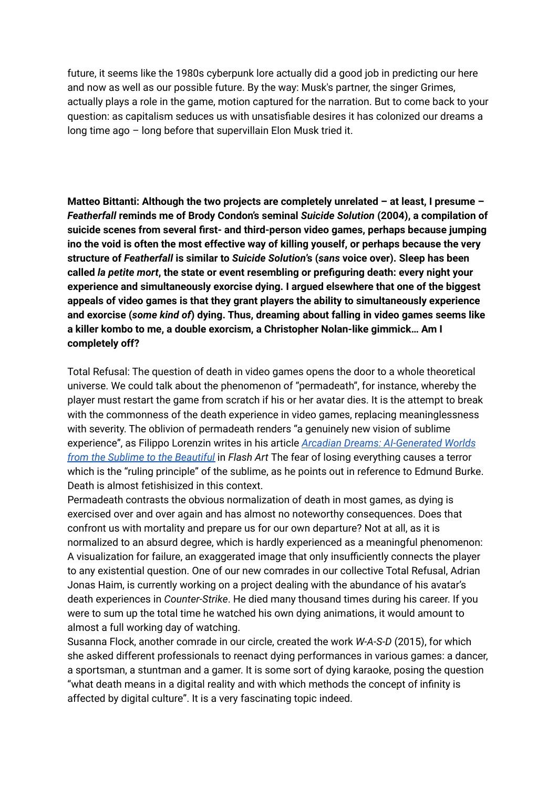future, it seems like the 1980s cyberpunk lore actually did a good job in predicting our here and now as well as our possible future. By the way: Musk's partner, the singer Grimes, actually plays a role in the game, motion captured for the narration. But to come back to your question: as capitalism seduces us with unsatisfiable desires it has colonized our dreams a long time ago – long before that supervillain Elon Musk tried it.

**Matteo Bittanti: Although the two projects are completely unrelated – at least, I presume –** *Featherfall* **reminds me of Brody Condon's seminal** *Suicide Solution* **(2004), a compilation of suicide scenes from several first- and third-person video games, perhaps because jumping ino the void is often the most effective way of killing youself, or perhaps because the very structure of** *Featherfall* **is similar to** *Suicide Solution***'s (***sans* **voice over). Sleep has been called** *la petite mort***, the state or event resembling or prefiguring death: every night your experience and simultaneously exorcise dying. I argued elsewhere that one of the biggest appeals of video games is that they grant players the ability to simultaneously experience and exorcise (***some kind of***) dying. Thus, dreaming about falling in video games seems like a killer kombo to me, a double exorcism, a Christopher Nolan-like gimmick… Am I completely off?**

Total Refusal: The question of death in video games opens the door to a whole theoretical universe. We could talk about the phenomenon of "permadeath", for instance, whereby the player must restart the game from scratch if his or her avatar dies. It is the attempt to break with the commonness of the death experience in video games, replacing meaninglessness with severity. The oblivion of permadeath renders "a genuinely new vision of sublime experience", as Filippo Lorenzin writes in his article *Arcadian Dreams: [AI-Generated](https://flash---art.com/2021/01/episode-iv-ai-generated-worlds/) Worlds from the Sublime to the [Beautiful](https://flash---art.com/2021/01/episode-iv-ai-generated-worlds/)* in *Flash Art* The fear of losing everything causes a terror which is the "ruling principle" of the sublime, as he points out in reference to Edmund Burke. Death is almost fetishisized in this context.

Permadeath contrasts the obvious normalization of death in most games, as dying is exercised over and over again and has almost no noteworthy consequences. Does that confront us with mortality and prepare us for our own departure? Not at all, as it is normalized to an absurd degree, which is hardly experienced as a meaningful phenomenon: A visualization for failure, an exaggerated image that only insufficiently connects the player to any existential question. One of our new comrades in our collective Total Refusal, Adrian Jonas Haim, is currently working on a project dealing with the abundance of his avatar's death experiences in *Counter-Strike*. He died many thousand times during his career. If you were to sum up the total time he watched his own dying animations, it would amount to almost a full working day of watching.

Susanna Flock, another comrade in our circle, created the work *W-A-S-D* (2015), for which she asked different professionals to reenact dying performances in various games: a dancer, a sportsman, a stuntman and a gamer. It is some sort of dying karaoke, posing the question "what death means in a digital reality and with which methods the concept of infinity is affected by digital culture". It is a very fascinating topic indeed.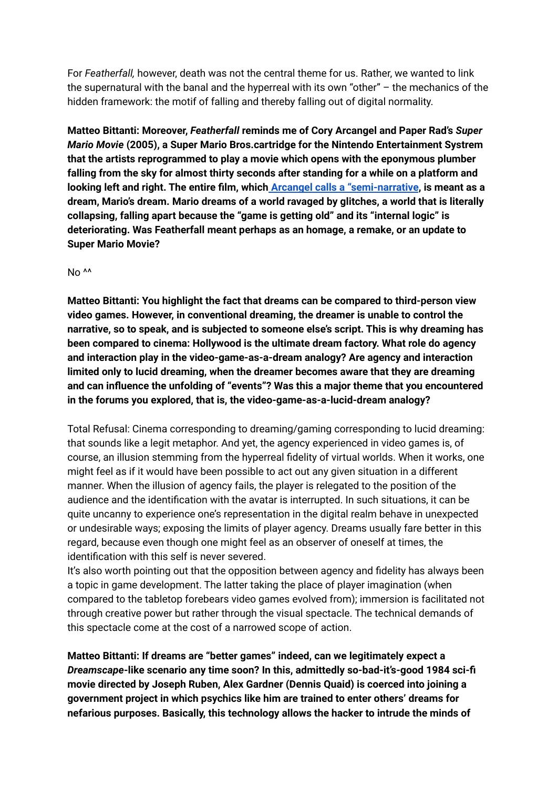For *Featherfall,* however, death was not the central theme for us. Rather, we wanted to link the supernatural with the banal and the hyperreal with its own "other" – the mechanics of the hidden framework: the motif of falling and thereby falling out of digital normality.

**Matteo Bittanti: Moreover,** *Featherfall* **reminds me of Cory Arcangel and Paper Rad's** *Super Mario Movie* **(2005), a Super Mario Bros.cartridge for the Nintendo Entertainment Systrem that the artists reprogrammed to play a movie which opens with the eponymous plumber falling from the sky for almost thirty seconds after standing for a while on a platform and looking left and right. The entire film, which Arcangel calls a ["semi-narrative](https://www.youtube.com/watch?v=oDDCoa71-yY), is meant as a dream, Mario's dream. Mario dreams of a world ravaged by glitches, a world that is literally collapsing, falling apart because the "game is getting old" and its "internal logic" is deteriorating. Was Featherfall meant perhaps as an homage, a remake, or an update to Super Mario Movie?**

No<sup>^^</sup>

**Matteo Bittanti: You highlight the fact that dreams can be compared to third-person view video games. However, in conventional dreaming, the dreamer is unable to control the narrative, so to speak, and is subjected to someone else's script. This is why dreaming has been compared to cinema: Hollywood is the ultimate dream factory. What role do agency and interaction play in the video-game-as-a-dream analogy? Are agency and interaction limited only to lucid dreaming, when the dreamer becomes aware that they are dreaming and can influence the unfolding of "events"? Was this a major theme that you encountered in the forums you explored, that is, the video-game-as-a-lucid-dream analogy?**

Total Refusal: Cinema corresponding to dreaming/gaming corresponding to lucid dreaming: that sounds like a legit metaphor. And yet, the agency experienced in video games is, of course, an illusion stemming from the hyperreal fidelity of virtual worlds. When it works, one might feel as if it would have been possible to act out any given situation in a different manner. When the illusion of agency fails, the player is relegated to the position of the audience and the identification with the avatar is interrupted. In such situations, it can be quite uncanny to experience one's representation in the digital realm behave in unexpected or undesirable ways; exposing the limits of player agency. Dreams usually fare better in this regard, because even though one might feel as an observer of oneself at times, the identification with this self is never severed.

It's also worth pointing out that the opposition between agency and fidelity has always been a topic in game development. The latter taking the place of player imagination (when compared to the tabletop forebears video games evolved from); immersion is facilitated not through creative power but rather through the visual spectacle. The technical demands of this spectacle come at the cost of a narrowed scope of action.

**Matteo Bittanti: If dreams are "better games" indeed, can we legitimately expect a** *Dreamscape***-like scenario any time soon? In this, admittedly so-bad-it's-good 1984 sci-fi movie directed by Joseph Ruben, Alex Gardner (Dennis Quaid) is coerced into joining a government project in which psychics like him are trained to enter others' dreams for nefarious purposes. Basically, this technology allows the hacker to intrude the minds of**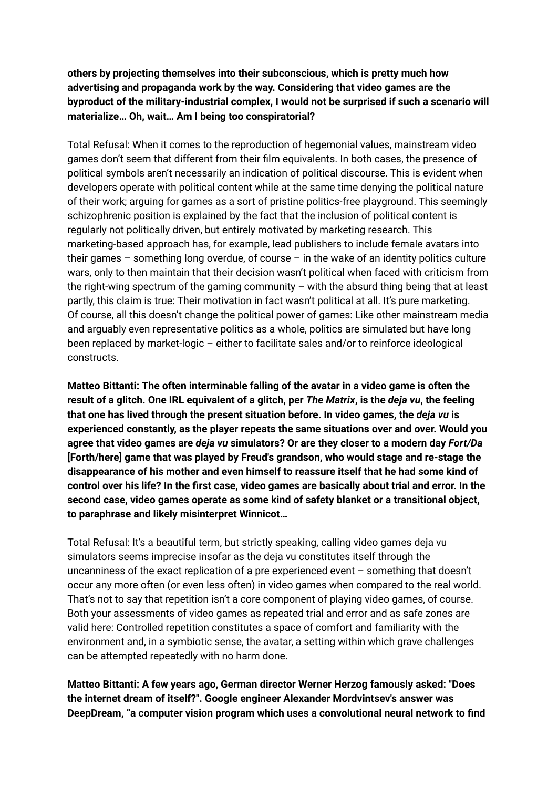**others by projecting themselves into their subconscious, which is pretty much how advertising and propaganda work by the way. Considering that video games are the byproduct of the military-industrial complex, I would not be surprised if such a scenario will materialize… Oh, wait… Am I being too conspiratorial?**

Total Refusal: When it comes to the reproduction of hegemonial values, mainstream video games don't seem that different from their film equivalents. In both cases, the presence of political symbols aren't necessarily an indication of political discourse. This is evident when developers operate with political content while at the same time denying the political nature of their work; arguing for games as a sort of pristine politics-free playground. This seemingly schizophrenic position is explained by the fact that the inclusion of political content is regularly not politically driven, but entirely motivated by marketing research. This marketing-based approach has, for example, lead publishers to include female avatars into their games  $-$  something long overdue, of course  $-$  in the wake of an identity politics culture wars, only to then maintain that their decision wasn't political when faced with criticism from the right-wing spectrum of the gaming community – with the absurd thing being that at least partly, this claim is true: Their motivation in fact wasn't political at all. It's pure marketing. Of course, all this doesn't change the political power of games: Like other mainstream media and arguably even representative politics as a whole, politics are simulated but have long been replaced by market-logic – either to facilitate sales and/or to reinforce ideological constructs.

**Matteo Bittanti: The often interminable falling of the avatar in a video game is often the** result of a glitch. One IRL equivalent of a glitch, per The Matrix, is the deja vu, the feeling **that one has lived through the present situation before. In video games, the** *deja vu* **is experienced constantly, as the player repeats the same situations over and over. Would you agree that video games are** *deja vu* **simulators? Or are they closer to a modern day** *Fort/Da* **[Forth/here] game that was played by Freud's grandson, who would stage and re-stage the disappearance of his mother and even himself to reassure itself that he had some kind of control over his life? In the first case, video games are basically about trial and error. In the second case, video games operate as some kind of safety blanket or a transitional object, to paraphrase and likely misinterpret Winnicot…**

Total Refusal: It's a beautiful term, but strictly speaking, calling video games deja vu simulators seems imprecise insofar as the deja vu constitutes itself through the uncanniness of the exact replication of a pre experienced event – something that doesn't occur any more often (or even less often) in video games when compared to the real world. That's not to say that repetition isn't a core component of playing video games, of course. Both your assessments of video games as repeated trial and error and as safe zones are valid here: Controlled repetition constitutes a space of comfort and familiarity with the environment and, in a symbiotic sense, the avatar, a setting within which grave challenges can be attempted repeatedly with no harm done.

**Matteo Bittanti: A few years ago, German director Werner Herzog famously asked: "Does the internet dream of itself?". Google engineer Alexander Mordvintsev's answer was DeepDream, "a computer vision program which uses a convolutional neural network to find**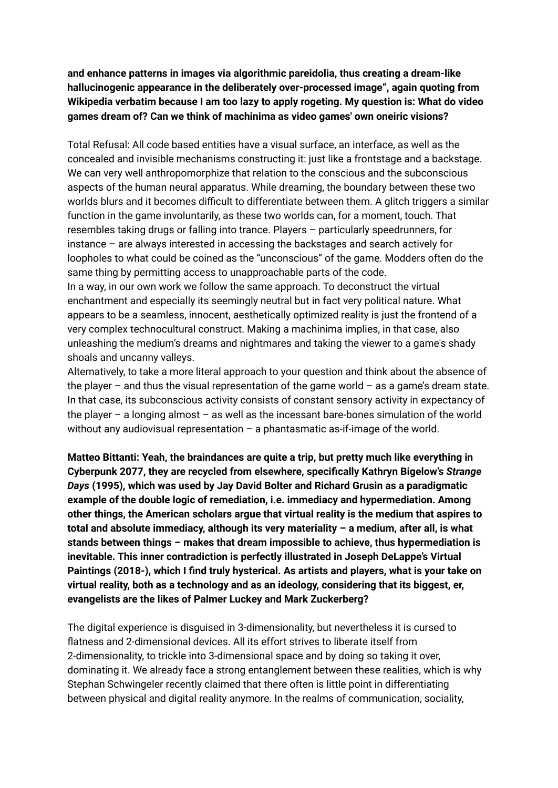**and enhance patterns in images via algorithmic pareidolia, thus creating a dream-like hallucinogenic appearance in the deliberately over-processed image", again quoting from Wikipedia verbatim because I am too lazy to apply rogeting. My question is: What do video games dream of? Can we think of machinima as video games' own oneiric visions?**

Total Refusal: All code based entities have a visual surface, an interface, as well as the concealed and invisible mechanisms constructing it: just like a frontstage and a backstage. We can very well anthropomorphize that relation to the conscious and the subconscious aspects of the human neural apparatus. While dreaming, the boundary between these two worlds blurs and it becomes difficult to differentiate between them. A glitch triggers a similar function in the game involuntarily, as these two worlds can, for a moment, touch. That resembles taking drugs or falling into trance. Players – particularly speedrunners, for instance – are always interested in accessing the backstages and search actively for loopholes to what could be coined as the "unconscious" of the game. Modders often do the same thing by permitting access to unapproachable parts of the code.

In a way, in our own work we follow the same approach. To deconstruct the virtual enchantment and especially its seemingly neutral but in fact very political nature. What appears to be a seamless, innocent, aesthetically optimized reality is just the frontend of a very complex technocultural construct. Making a machinima implies, in that case, also unleashing the medium's dreams and nightmares and taking the viewer to a game's shady shoals and uncanny valleys.

Alternatively, to take a more literal approach to your question and think about the absence of the player – and thus the visual representation of the game world – as a game's dream state. In that case, its subconscious activity consists of constant sensory activity in expectancy of the player – a longing almost – as well as the incessant bare-bones simulation of the world without any audiovisual representation  $-$  a phantasmatic as-if-image of the world.

**Matteo Bittanti: Yeah, the braindances are quite a trip, but pretty much like everything in Cyberpunk 2077, they are recycled from elsewhere, specifically Kathryn Bigelow's** *Strange Days* **(1995), which was used by Jay David Bolter and Richard Grusin as a paradigmatic example of the double logic of remediation, i.e. immediacy and hypermediation. Among other things, the American scholars argue that virtual reality is the medium that aspires to total and absolute immediacy, although its very materiality – a medium, after all, is what stands between things – makes that dream impossible to achieve, thus hypermediation is inevitable. This inner contradiction is perfectly illustrated in Joseph DeLappe's Virtual Paintings (2018-), which I find truly hysterical. As artists and players, what is your take on virtual reality, both as a technology and as an ideology, considering that its biggest, er, evangelists are the likes of Palmer Luckey and Mark Zuckerberg?**

The digital experience is disguised in 3-dimensionality, but nevertheless it is cursed to flatness and 2-dimensional devices. All its effort strives to liberate itself from 2-dimensionality, to trickle into 3-dimensional space and by doing so taking it over, dominating it. We already face a strong entanglement between these realities, which is why Stephan Schwingeler recently claimed that there often is little point in differentiating between physical and digital reality anymore. In the realms of communication, sociality,